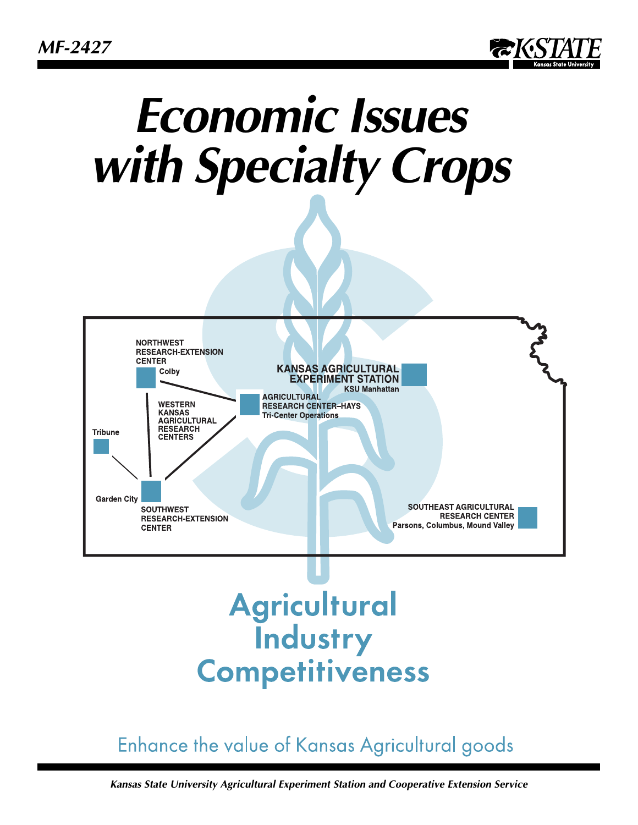*MF-2427*



# *Economic Issues with Specialty Crops*



# **Agricultural Industry Competitiveness**

## Enhance the value of Kansas Agricultural goods

*Kansas State University Agricultural Experiment Station and Cooperative Extension Service*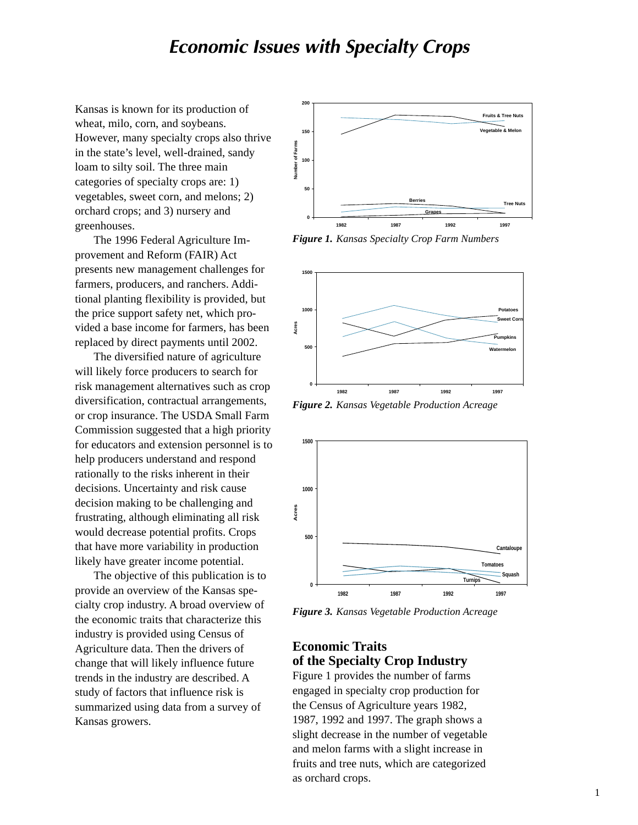### *Economic Issues with Specialty Crops*

Kansas is known for its production of wheat, milo, corn, and soybeans. However, many specialty crops also thrive in the state's level, well-drained, sandy loam to silty soil. The three main categories of specialty crops are: 1) vegetables, sweet corn, and melons; 2) orchard crops; and 3) nursery and greenhouses.

The 1996 Federal Agriculture Improvement and Reform (FAIR) Act presents new management challenges for farmers, producers, and ranchers. Additional planting flexibility is provided, but the price support safety net, which provided a base income for farmers, has been replaced by direct payments until 2002.

The diversified nature of agriculture will likely force producers to search for risk management alternatives such as crop diversification, contractual arrangements, or crop insurance. The USDA Small Farm Commission suggested that a high priority for educators and extension personnel is to help producers understand and respond rationally to the risks inherent in their decisions. Uncertainty and risk cause decision making to be challenging and frustrating, although eliminating all risk would decrease potential profits. Crops that have more variability in production likely have greater income potential.

The objective of this publication is to provide an overview of the Kansas specialty crop industry. A broad overview of the economic traits that characterize this industry is provided using Census of Agriculture data. Then the drivers of change that will likely influence future trends in the industry are described. A study of factors that influence risk is summarized using data from a survey of Kansas growers.



*Figure 1. Kansas Specialty Crop Farm Numbers*



*Figure 2. Kansas Vegetable Production Acreage*



*Figure 3. Kansas Vegetable Production Acreage*

#### **Economic Traits of the Specialty Crop Industry**

Figure 1 provides the number of farms engaged in specialty crop production for the Census of Agriculture years 1982, 1987, 1992 and 1997. The graph shows a slight decrease in the number of vegetable and melon farms with a slight increase in fruits and tree nuts, which are categorized as orchard crops.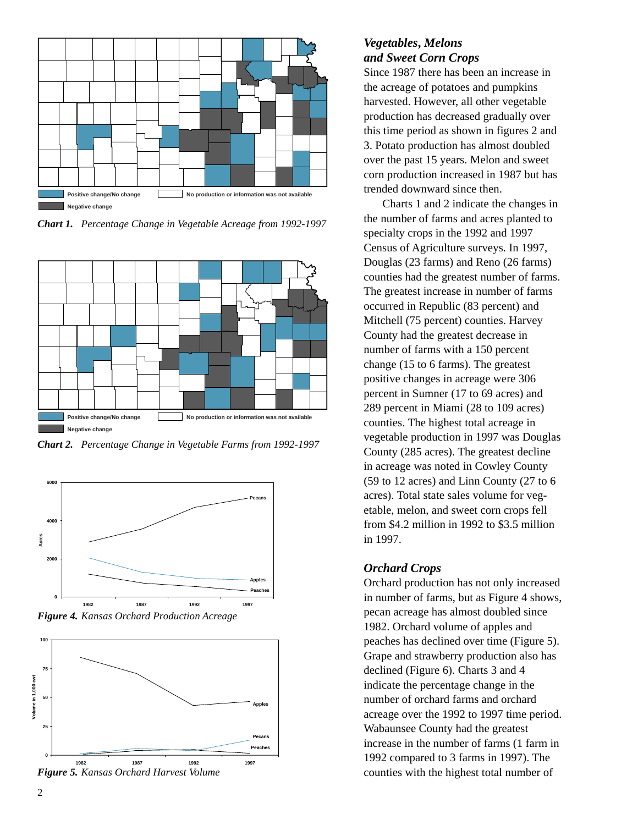

*Chart 1. Percentage Change in Vegetable Acreage from 1992-1997*



*Chart 2. Percentage Change in Vegetable Farms from 1992-1997*







#### *Figure 5. Kansas Orchard Harvest Volume*

#### *Vegetables***,** *Melons and Sweet Corn Crops*

Since 1987 there has been an increase in the acreage of potatoes and pumpkins harvested. However, all other vegetable production has decreased gradually over this time period as shown in figures 2 and 3. Potato production has almost doubled over the past 15 years. Melon and sweet corn production increased in 1987 but has trended downward since then.

Charts 1 and 2 indicate the changes in the number of farms and acres planted to specialty crops in the 1992 and 1997 Census of Agriculture surveys. In 1997, Douglas (23 farms) and Reno (26 farms) counties had the greatest number of farms. The greatest increase in number of farms occurred in Republic (83 percent) and Mitchell (75 percent) counties. Harvey County had the greatest decrease in number of farms with a 150 percent change (15 to 6 farms). The greatest positive changes in acreage were 306 percent in Sumner (17 to 69 acres) and 289 percent in Miami (28 to 109 acres) counties. The highest total acreage in vegetable production in 1997 was Douglas County (285 acres). The greatest decline in acreage was noted in Cowley County (59 to 12 acres) and Linn County (27 to 6 acres). Total state sales volume for vegetable, melon, and sweet corn crops fell from \$4.2 million in 1992 to \$3.5 million in 1997.

#### *Orchard Crops*

Orchard production has not only increased in number of farms, but as Figure 4 shows, pecan acreage has almost doubled since 1982. Orchard volume of apples and peaches has declined over time (Figure 5). Grape and strawberry production also has declined (Figure 6). Charts 3 and 4 indicate the percentage change in the number of orchard farms and orchard acreage over the 1992 to 1997 time period. Wabaunsee County had the greatest increase in the number of farms (1 farm in 1992 compared to 3 farms in 1997). The counties with the highest total number of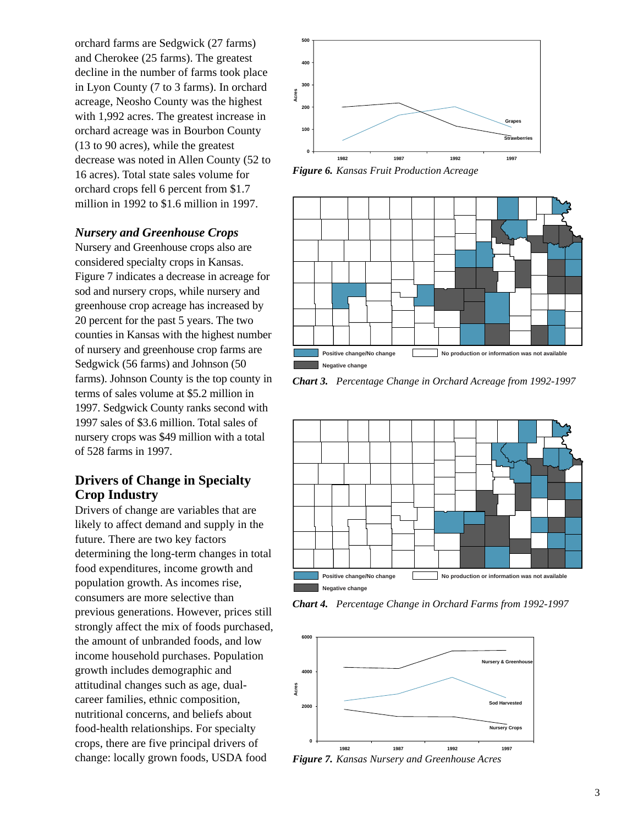orchard farms are Sedgwick (27 farms) and Cherokee (25 farms). The greatest decline in the number of farms took place in Lyon County (7 to 3 farms). In orchard acreage, Neosho County was the highest with 1,992 acres. The greatest increase in orchard acreage was in Bourbon County (13 to 90 acres), while the greatest decrease was noted in Allen County (52 to 16 acres). Total state sales volume for orchard crops fell 6 percent from \$1.7 million in 1992 to \$1.6 million in 1997.

#### *Nursery and Greenhouse Crops*

Nursery and Greenhouse crops also are considered specialty crops in Kansas. Figure 7 indicates a decrease in acreage for sod and nursery crops, while nursery and greenhouse crop acreage has increased by 20 percent for the past 5 years. The two counties in Kansas with the highest number of nursery and greenhouse crop farms are Sedgwick (56 farms) and Johnson (50 farms). Johnson County is the top county in terms of sales volume at \$5.2 million in 1997. Sedgwick County ranks second with 1997 sales of \$3.6 million. Total sales of nursery crops was \$49 million with a total of 528 farms in 1997.

#### **Drivers of Change in Specialty Crop Industry**

Drivers of change are variables that are likely to affect demand and supply in the future. There are two key factors determining the long-term changes in total food expenditures, income growth and population growth. As incomes rise, consumers are more selective than previous generations. However, prices still strongly affect the mix of foods purchased, the amount of unbranded foods, and low income household purchases. Population growth includes demographic and attitudinal changes such as age, dualcareer families, ethnic composition, nutritional concerns, and beliefs about food-health relationships. For specialty crops, there are five principal drivers of change: locally grown foods, USDA food



*Figure 6. Kansas Fruit Production Acreage*



*Chart 3. Percentage Change in Orchard Acreage from 1992-1997*



*Chart 4. Percentage Change in Orchard Farms from 1992-1997*



*Figure 7. Kansas Nursery and Greenhouse Acres*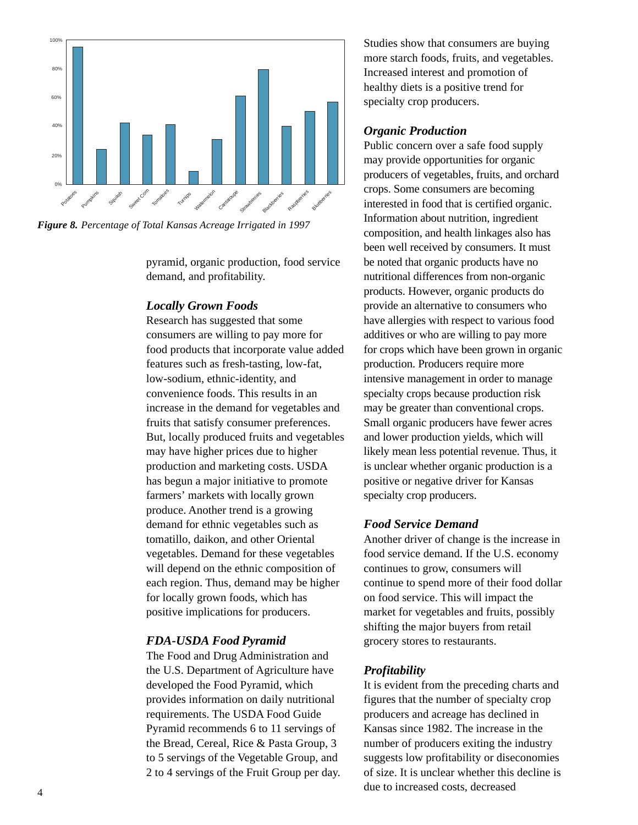

*Figure 8. Percentage of Total Kansas Acreage Irrigated in 1997*

pyramid, organic production, food service demand, and profitability.

#### *Locally Grown Foods*

Research has suggested that some consumers are willing to pay more for food products that incorporate value added features such as fresh-tasting, low-fat, low-sodium, ethnic-identity, and convenience foods. This results in an increase in the demand for vegetables and fruits that satisfy consumer preferences. But, locally produced fruits and vegetables may have higher prices due to higher production and marketing costs. USDA has begun a major initiative to promote farmers' markets with locally grown produce. Another trend is a growing demand for ethnic vegetables such as tomatillo, daikon, and other Oriental vegetables. Demand for these vegetables will depend on the ethnic composition of each region. Thus, demand may be higher for locally grown foods, which has positive implications for producers.

#### *FDA-USDA Food Pyramid*

The Food and Drug Administration and the U.S. Department of Agriculture have developed the Food Pyramid, which provides information on daily nutritional requirements. The USDA Food Guide Pyramid recommends 6 to 11 servings of the Bread, Cereal, Rice & Pasta Group, 3 to 5 servings of the Vegetable Group, and 2 to 4 servings of the Fruit Group per day. Studies show that consumers are buying more starch foods, fruits, and vegetables. Increased interest and promotion of healthy diets is a positive trend for specialty crop producers.

#### *Organic Production*

Public concern over a safe food supply may provide opportunities for organic producers of vegetables, fruits, and orchard crops. Some consumers are becoming interested in food that is certified organic. Information about nutrition, ingredient composition, and health linkages also has been well received by consumers. It must be noted that organic products have no nutritional differences from non-organic products. However, organic products do provide an alternative to consumers who have allergies with respect to various food additives or who are willing to pay more for crops which have been grown in organic production. Producers require more intensive management in order to manage specialty crops because production risk may be greater than conventional crops. Small organic producers have fewer acres and lower production yields, which will likely mean less potential revenue. Thus, it is unclear whether organic production is a positive or negative driver for Kansas specialty crop producers.

#### *Food Service Demand*

Another driver of change is the increase in food service demand. If the U.S. economy continues to grow, consumers will continue to spend more of their food dollar on food service. This will impact the market for vegetables and fruits, possibly shifting the major buyers from retail grocery stores to restaurants.

#### *Profitability*

It is evident from the preceding charts and figures that the number of specialty crop producers and acreage has declined in Kansas since 1982. The increase in the number of producers exiting the industry suggests low profitability or diseconomies of size. It is unclear whether this decline is due to increased costs, decreased <sup>4</sup>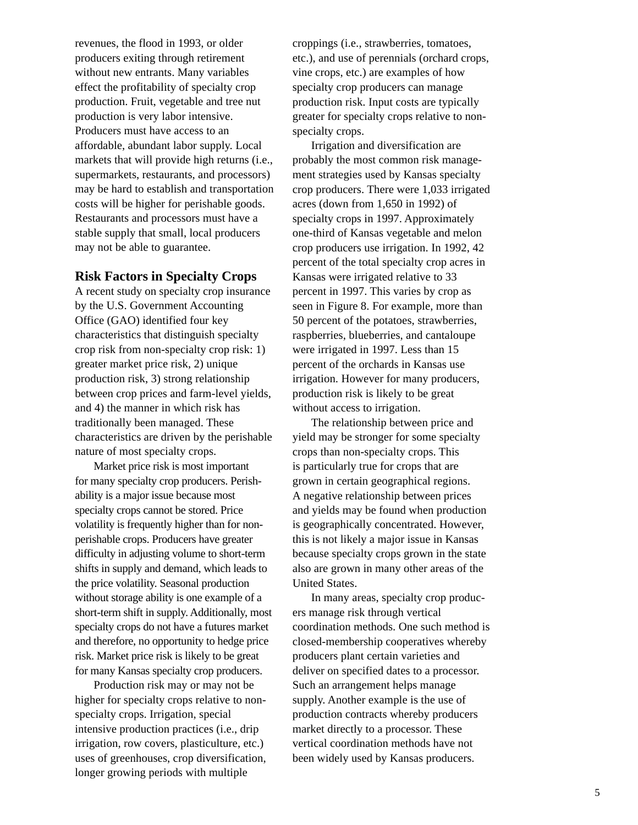revenues, the flood in 1993, or older producers exiting through retirement without new entrants. Many variables effect the profitability of specialty crop production. Fruit, vegetable and tree nut production is very labor intensive. Producers must have access to an affordable, abundant labor supply. Local markets that will provide high returns (i.e., supermarkets, restaurants, and processors) may be hard to establish and transportation costs will be higher for perishable goods. Restaurants and processors must have a stable supply that small, local producers may not be able to guarantee.

#### **Risk Factors in Specialty Crops**

A recent study on specialty crop insurance by the U.S. Government Accounting Office (GAO) identified four key characteristics that distinguish specialty crop risk from non-specialty crop risk: 1) greater market price risk, 2) unique production risk, 3) strong relationship between crop prices and farm-level yields, and 4) the manner in which risk has traditionally been managed. These characteristics are driven by the perishable nature of most specialty crops.

Market price risk is most important for many specialty crop producers. Perishability is a major issue because most specialty crops cannot be stored. Price volatility is frequently higher than for nonperishable crops. Producers have greater difficulty in adjusting volume to short-term shifts in supply and demand, which leads to the price volatility. Seasonal production without storage ability is one example of a short-term shift in supply. Additionally, most specialty crops do not have a futures market and therefore, no opportunity to hedge price risk. Market price risk is likely to be great for many Kansas specialty crop producers.

Production risk may or may not be higher for specialty crops relative to nonspecialty crops. Irrigation, special intensive production practices (i.e., drip irrigation, row covers, plasticulture, etc.) uses of greenhouses, crop diversification, longer growing periods with multiple

croppings (i.e., strawberries, tomatoes, etc.), and use of perennials (orchard crops, vine crops, etc.) are examples of how specialty crop producers can manage production risk. Input costs are typically greater for specialty crops relative to nonspecialty crops.

Irrigation and diversification are probably the most common risk management strategies used by Kansas specialty crop producers. There were 1,033 irrigated acres (down from 1,650 in 1992) of specialty crops in 1997. Approximately one-third of Kansas vegetable and melon crop producers use irrigation. In 1992, 42 percent of the total specialty crop acres in Kansas were irrigated relative to 33 percent in 1997. This varies by crop as seen in Figure 8. For example, more than 50 percent of the potatoes, strawberries, raspberries, blueberries, and cantaloupe were irrigated in 1997. Less than 15 percent of the orchards in Kansas use irrigation. However for many producers, production risk is likely to be great without access to irrigation.

The relationship between price and yield may be stronger for some specialty crops than non-specialty crops. This is particularly true for crops that are grown in certain geographical regions. A negative relationship between prices and yields may be found when production is geographically concentrated. However, this is not likely a major issue in Kansas because specialty crops grown in the state also are grown in many other areas of the United States.

In many areas, specialty crop producers manage risk through vertical coordination methods. One such method is closed-membership cooperatives whereby producers plant certain varieties and deliver on specified dates to a processor. Such an arrangement helps manage supply. Another example is the use of production contracts whereby producers market directly to a processor. These vertical coordination methods have not been widely used by Kansas producers.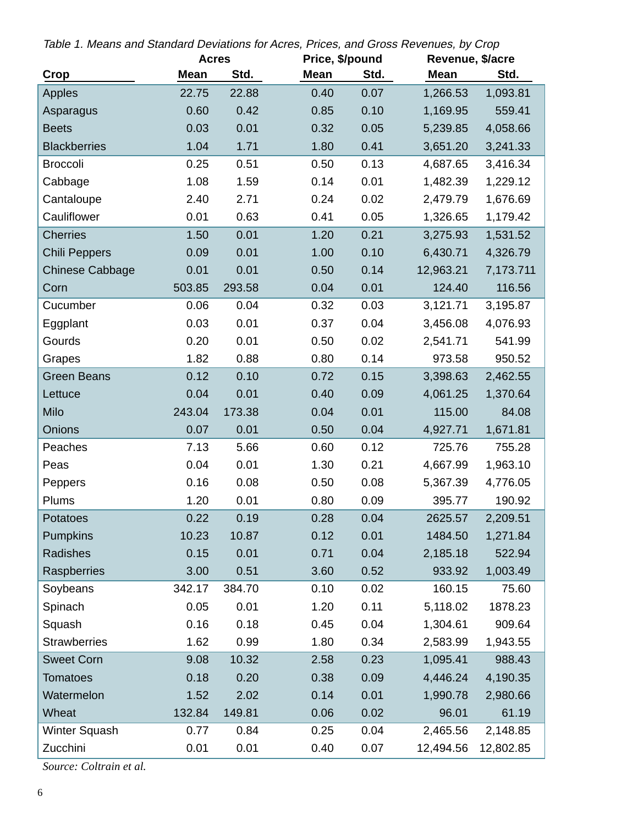| Table 1. Means and Standard Deviations for Acres, Prices, and Gross Revenues, by Crop |  |  |  |  |
|---------------------------------------------------------------------------------------|--|--|--|--|
|                                                                                       |  |  |  |  |

|                        | <b>Acres</b> |        |             | Price, \$/pound |             | Revenue, \$/acre |  |  |
|------------------------|--------------|--------|-------------|-----------------|-------------|------------------|--|--|
| Crop                   | <b>Mean</b>  | Std.   | <b>Mean</b> | Std.            | <b>Mean</b> | Std.             |  |  |
| Apples                 | 22.75        | 22.88  | 0.40        | 0.07            | 1,266.53    | 1,093.81         |  |  |
| Asparagus              | 0.60         | 0.42   | 0.85        | 0.10            | 1,169.95    | 559.41           |  |  |
| <b>Beets</b>           | 0.03         | 0.01   | 0.32        | 0.05            | 5,239.85    | 4,058.66         |  |  |
| <b>Blackberries</b>    | 1.04         | 1.71   | 1.80        | 0.41            | 3,651.20    | 3,241.33         |  |  |
| <b>Broccoli</b>        | 0.25         | 0.51   | 0.50        | 0.13            | 4,687.65    | 3,416.34         |  |  |
| Cabbage                | 1.08         | 1.59   | 0.14        | 0.01            | 1,482.39    | 1,229.12         |  |  |
| Cantaloupe             | 2.40         | 2.71   | 0.24        | 0.02            | 2,479.79    | 1,676.69         |  |  |
| Cauliflower            | 0.01         | 0.63   | 0.41        | 0.05            | 1,326.65    | 1,179.42         |  |  |
| <b>Cherries</b>        | 1.50         | 0.01   | 1.20        | 0.21            | 3,275.93    | 1,531.52         |  |  |
| Chili Peppers          | 0.09         | 0.01   | 1.00        | 0.10            | 6,430.71    | 4,326.79         |  |  |
| <b>Chinese Cabbage</b> | 0.01         | 0.01   | 0.50        | 0.14            | 12,963.21   | 7,173.711        |  |  |
| Corn                   | 503.85       | 293.58 | 0.04        | 0.01            | 124.40      | 116.56           |  |  |
| Cucumber               | 0.06         | 0.04   | 0.32        | 0.03            | 3,121.71    | 3,195.87         |  |  |
| Eggplant               | 0.03         | 0.01   | 0.37        | 0.04            | 3,456.08    | 4,076.93         |  |  |
| Gourds                 | 0.20         | 0.01   | 0.50        | 0.02            | 2,541.71    | 541.99           |  |  |
| Grapes                 | 1.82         | 0.88   | 0.80        | 0.14            | 973.58      | 950.52           |  |  |
| <b>Green Beans</b>     | 0.12         | 0.10   | 0.72        | 0.15            | 3,398.63    | 2,462.55         |  |  |
| Lettuce                | 0.04         | 0.01   | 0.40        | 0.09            | 4,061.25    | 1,370.64         |  |  |
| Milo                   | 243.04       | 173.38 | 0.04        | 0.01            | 115.00      | 84.08            |  |  |
| Onions                 | 0.07         | 0.01   | 0.50        | 0.04            | 4,927.71    | 1,671.81         |  |  |
| Peaches                | 7.13         | 5.66   | 0.60        | 0.12            | 725.76      | 755.28           |  |  |
| Peas                   | 0.04         | 0.01   | 1.30        | 0.21            | 4,667.99    | 1,963.10         |  |  |
| Peppers                | 0.16         | 0.08   | 0.50        | 0.08            | 5,367.39    | 4,776.05         |  |  |
| Plums                  | 1.20         | 0.01   | 0.80        | 0.09            | 395.77      | 190.92           |  |  |
| Potatoes               | 0.22         | 0.19   | 0.28        | 0.04            | 2625.57     | 2,209.51         |  |  |
| <b>Pumpkins</b>        | 10.23        | 10.87  | 0.12        | 0.01            | 1484.50     | 1,271.84         |  |  |
| Radishes               | 0.15         | 0.01   | 0.71        | 0.04            | 2,185.18    | 522.94           |  |  |
| Raspberries            | 3.00         | 0.51   | 3.60        | 0.52            | 933.92      | 1,003.49         |  |  |
| Soybeans               | 342.17       | 384.70 | 0.10        | 0.02            | 160.15      | 75.60            |  |  |
| Spinach                | 0.05         | 0.01   | 1.20        | 0.11            | 5,118.02    | 1878.23          |  |  |
| Squash                 | 0.16         | 0.18   | 0.45        | 0.04            | 1,304.61    | 909.64           |  |  |
| <b>Strawberries</b>    | 1.62         | 0.99   | 1.80        | 0.34            | 2,583.99    | 1,943.55         |  |  |
| <b>Sweet Corn</b>      | 9.08         | 10.32  | 2.58        | 0.23            | 1,095.41    | 988.43           |  |  |
| <b>Tomatoes</b>        | 0.18         | 0.20   | 0.38        | 0.09            | 4,446.24    | 4,190.35         |  |  |
| Watermelon             | 1.52         | 2.02   | 0.14        | 0.01            | 1,990.78    | 2,980.66         |  |  |
| Wheat                  | 132.84       | 149.81 | 0.06        | 0.02            | 96.01       | 61.19            |  |  |
| Winter Squash          | 0.77         | 0.84   | 0.25        | 0.04            | 2,465.56    | 2,148.85         |  |  |
| Zucchini               | 0.01         | 0.01   | 0.40        | 0.07            | 12,494.56   | 12,802.85        |  |  |
|                        |              |        |             |                 |             |                  |  |  |

*Source: Coltrain et al.*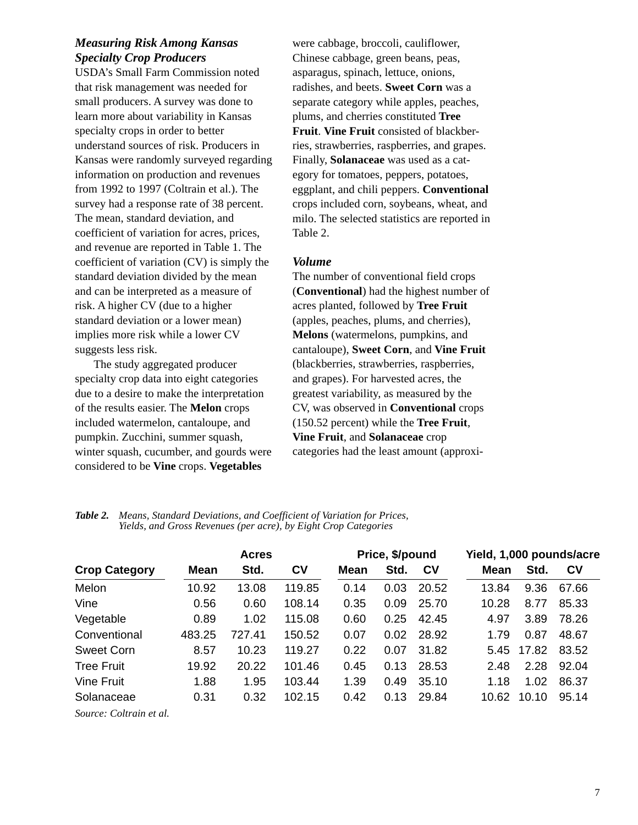#### *Measuring Risk Among Kansas Specialty Crop Producers*

USDA's Small Farm Commission noted that risk management was needed for small producers. A survey was done to learn more about variability in Kansas specialty crops in order to better understand sources of risk. Producers in Kansas were randomly surveyed regarding information on production and revenues from 1992 to 1997 (Coltrain et al.). The survey had a response rate of 38 percent. The mean, standard deviation, and coefficient of variation for acres, prices, and revenue are reported in Table 1. The coefficient of variation (CV) is simply the standard deviation divided by the mean and can be interpreted as a measure of risk. A higher CV (due to a higher standard deviation or a lower mean) implies more risk while a lower CV suggests less risk.

The study aggregated producer specialty crop data into eight categories due to a desire to make the interpretation of the results easier. The **Melon** crops included watermelon, cantaloupe, and pumpkin. Zucchini, summer squash, winter squash, cucumber, and gourds were considered to be **Vine** crops. **Vegetables**

were cabbage, broccoli, cauliflower, Chinese cabbage, green beans, peas, asparagus, spinach, lettuce, onions, radishes, and beets. **Sweet Corn** was a separate category while apples, peaches, plums, and cherries constituted **Tree Fruit**. **Vine Fruit** consisted of blackberries, strawberries, raspberries, and grapes. Finally, **Solanaceae** was used as a category for tomatoes, peppers, potatoes, eggplant, and chili peppers. **Conventional** crops included corn, soybeans, wheat, and milo. The selected statistics are reported in Table 2.

#### *Volume*

The number of conventional field crops (**Conventional**) had the highest number of acres planted, followed by **Tree Fruit** (apples, peaches, plums, and cherries), **Melons** (watermelons, pumpkins, and cantaloupe), **Sweet Corn**, and **Vine Fruit** (blackberries, strawberries, raspberries, and grapes). For harvested acres, the greatest variability, as measured by the CV, was observed in **Conventional** crops (150.52 percent) while the **Tree Fruit**, **Vine Fruit**, and **Solanaceae** crop categories had the least amount (approxi-

|                                      | <b>Acres</b> |        |                | Price, \$/pound |      |         | Yield, 1,000 pounds/acre |       |           |
|--------------------------------------|--------------|--------|----------------|-----------------|------|---------|--------------------------|-------|-----------|
| <b>Crop Category</b>                 | Mean         | Std.   | c <sub>v</sub> | Mean            | Std. | $c_{V}$ | Mean                     | Std.  | <b>CV</b> |
| Melon                                | 10.92        | 13.08  | 119.85         | 0.14            | 0.03 | 20.52   | 13.84                    | 9.36  | 67.66     |
| Vine                                 | 0.56         | 0.60   | 108.14         | 0.35            | 0.09 | 25.70   | 10.28                    | 8.77  | 85.33     |
| Vegetable                            | 0.89         | 1.02   | 115.08         | 0.60            | 0.25 | 42.45   | 4.97                     | 3.89  | 78.26     |
| Conventional                         | 483.25       | 727.41 | 150.52         | 0.07            | 0.02 | 28.92   | 1.79                     | 0.87  | 48.67     |
| <b>Sweet Corn</b>                    | 8.57         | 10.23  | 119.27         | 0.22            | 0.07 | 31.82   | 5.45                     | 17.82 | 83.52     |
| <b>Tree Fruit</b>                    | 19.92        | 20.22  | 101.46         | 0.45            | 0.13 | 28.53   | 2.48                     | 2.28  | 92.04     |
| Vine Fruit                           | 1.88         | 1.95   | 103.44         | 1.39            | 0.49 | 35.10   | 1.18                     | 1.02  | 86.37     |
| Solanaceae                           | 0.31         | 0.32   | 102.15         | 0.42            | 0.13 | 29.84   | 10.62                    | 10.10 | 95.14     |
| $\alpha$ $\alpha$ $\beta$ , $\gamma$ |              |        |                |                 |      |         |                          |       |           |

*Table 2. Means, Standard Deviations, and Coefficient of Variation for Prices, Yields, and Gross Revenues (per acre), by Eight Crop Categories*

*Source: Coltrain et al.*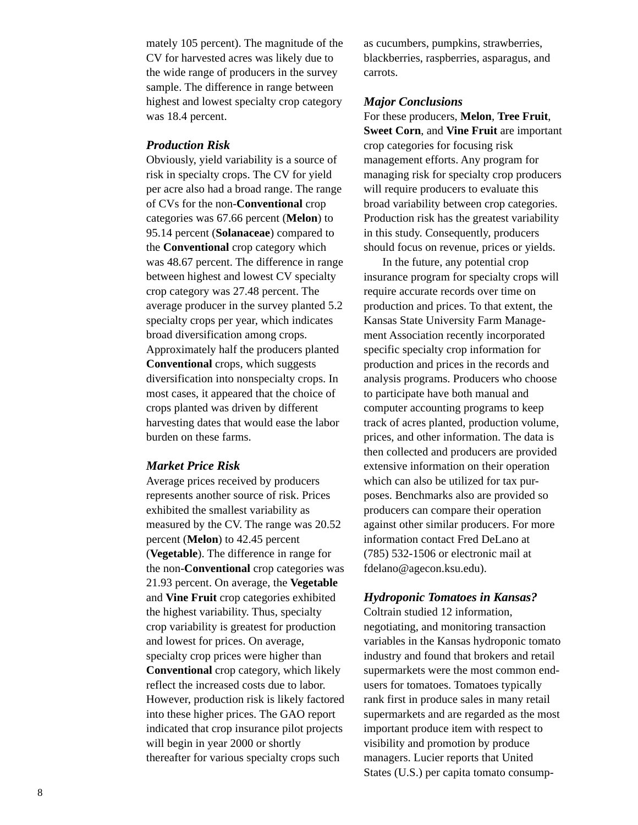mately 105 percent). The magnitude of the CV for harvested acres was likely due to the wide range of producers in the survey sample. The difference in range between highest and lowest specialty crop category was 18.4 percent.

#### *Production Risk*

Obviously, yield variability is a source of risk in specialty crops. The CV for yield per acre also had a broad range. The range of CVs for the non-**Conventional** crop categories was 67.66 percent (**Melon**) to 95.14 percent (**Solanaceae**) compared to the **Conventional** crop category which was 48.67 percent. The difference in range between highest and lowest CV specialty crop category was 27.48 percent. The average producer in the survey planted 5.2 specialty crops per year, which indicates broad diversification among crops. Approximately half the producers planted **Conventional** crops, which suggests diversification into nonspecialty crops. In most cases, it appeared that the choice of crops planted was driven by different harvesting dates that would ease the labor burden on these farms.

#### *Market Price Risk*

Average prices received by producers represents another source of risk. Prices exhibited the smallest variability as measured by the CV. The range was 20.52 percent (**Melon**) to 42.45 percent (**Vegetable**). The difference in range for the non-**Conventional** crop categories was 21.93 percent. On average, the **Vegetable** and **Vine Fruit** crop categories exhibited the highest variability. Thus, specialty crop variability is greatest for production and lowest for prices. On average, specialty crop prices were higher than **Conventional** crop category, which likely reflect the increased costs due to labor. However, production risk is likely factored into these higher prices. The GAO report indicated that crop insurance pilot projects will begin in year 2000 or shortly thereafter for various specialty crops such

as cucumbers, pumpkins, strawberries, blackberries, raspberries, asparagus, and carrots.

#### *Major Conclusions*

For these producers, **Melon**, **Tree Fruit**, **Sweet Corn**, and **Vine Fruit** are important crop categories for focusing risk management efforts. Any program for managing risk for specialty crop producers will require producers to evaluate this broad variability between crop categories. Production risk has the greatest variability in this study. Consequently, producers should focus on revenue, prices or yields.

In the future, any potential crop insurance program for specialty crops will require accurate records over time on production and prices. To that extent, the Kansas State University Farm Management Association recently incorporated specific specialty crop information for production and prices in the records and analysis programs. Producers who choose to participate have both manual and computer accounting programs to keep track of acres planted, production volume, prices, and other information. The data is then collected and producers are provided extensive information on their operation which can also be utilized for tax purposes. Benchmarks also are provided so producers can compare their operation against other similar producers. For more information contact Fred DeLano at (785) 532-1506 or electronic mail at fdelano@agecon.ksu.edu).

#### *Hydroponic Tomatoes in Kansas?*

Coltrain studied 12 information, negotiating, and monitoring transaction variables in the Kansas hydroponic tomato industry and found that brokers and retail supermarkets were the most common endusers for tomatoes. Tomatoes typically rank first in produce sales in many retail supermarkets and are regarded as the most important produce item with respect to visibility and promotion by produce managers. Lucier reports that United States (U.S.) per capita tomato consump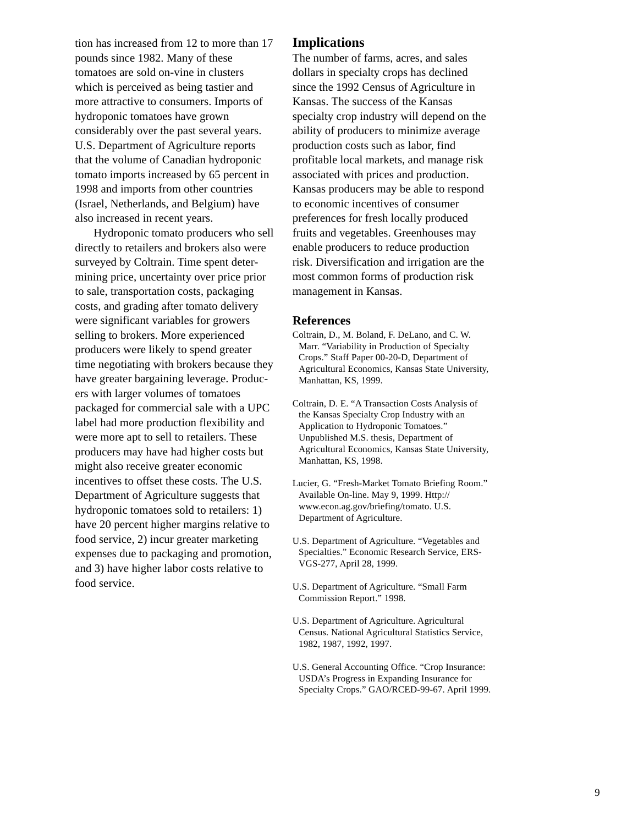tion has increased from 12 to more than 17 pounds since 1982. Many of these tomatoes are sold on-vine in clusters which is perceived as being tastier and more attractive to consumers. Imports of hydroponic tomatoes have grown considerably over the past several years. U.S. Department of Agriculture reports that the volume of Canadian hydroponic tomato imports increased by 65 percent in 1998 and imports from other countries (Israel, Netherlands, and Belgium) have also increased in recent years.

Hydroponic tomato producers who sell directly to retailers and brokers also were surveyed by Coltrain. Time spent determining price, uncertainty over price prior to sale, transportation costs, packaging costs, and grading after tomato delivery were significant variables for growers selling to brokers. More experienced producers were likely to spend greater time negotiating with brokers because they have greater bargaining leverage. Producers with larger volumes of tomatoes packaged for commercial sale with a UPC label had more production flexibility and were more apt to sell to retailers. These producers may have had higher costs but might also receive greater economic incentives to offset these costs. The U.S. Department of Agriculture suggests that hydroponic tomatoes sold to retailers: 1) have 20 percent higher margins relative to food service, 2) incur greater marketing expenses due to packaging and promotion, and 3) have higher labor costs relative to food service.

#### **Implications**

The number of farms, acres, and sales dollars in specialty crops has declined since the 1992 Census of Agriculture in Kansas. The success of the Kansas specialty crop industry will depend on the ability of producers to minimize average production costs such as labor, find profitable local markets, and manage risk associated with prices and production. Kansas producers may be able to respond to economic incentives of consumer preferences for fresh locally produced fruits and vegetables. Greenhouses may enable producers to reduce production risk. Diversification and irrigation are the most common forms of production risk management in Kansas.

#### **References**

- Coltrain, D., M. Boland, F. DeLano, and C. W. Marr. "Variability in Production of Specialty Crops." Staff Paper 00-20-D, Department of Agricultural Economics, Kansas State University, Manhattan, KS, 1999.
- Coltrain, D. E. "A Transaction Costs Analysis of the Kansas Specialty Crop Industry with an Application to Hydroponic Tomatoes." Unpublished M.S. thesis, Department of Agricultural Economics, Kansas State University, Manhattan, KS, 1998.
- Lucier, G. "Fresh-Market Tomato Briefing Room." Available On-line. May 9, 1999. Http:// www.econ.ag.gov/briefing/tomato. U.S. Department of Agriculture.
- U.S. Department of Agriculture. "Vegetables and Specialties." Economic Research Service, ERS-VGS-277, April 28, 1999.
- U.S. Department of Agriculture. "Small Farm Commission Report." 1998.
- U.S. Department of Agriculture. Agricultural Census. National Agricultural Statistics Service, 1982, 1987, 1992, 1997.
- U.S. General Accounting Office. "Crop Insurance: USDA's Progress in Expanding Insurance for Specialty Crops." GAO/RCED-99-67. April 1999.